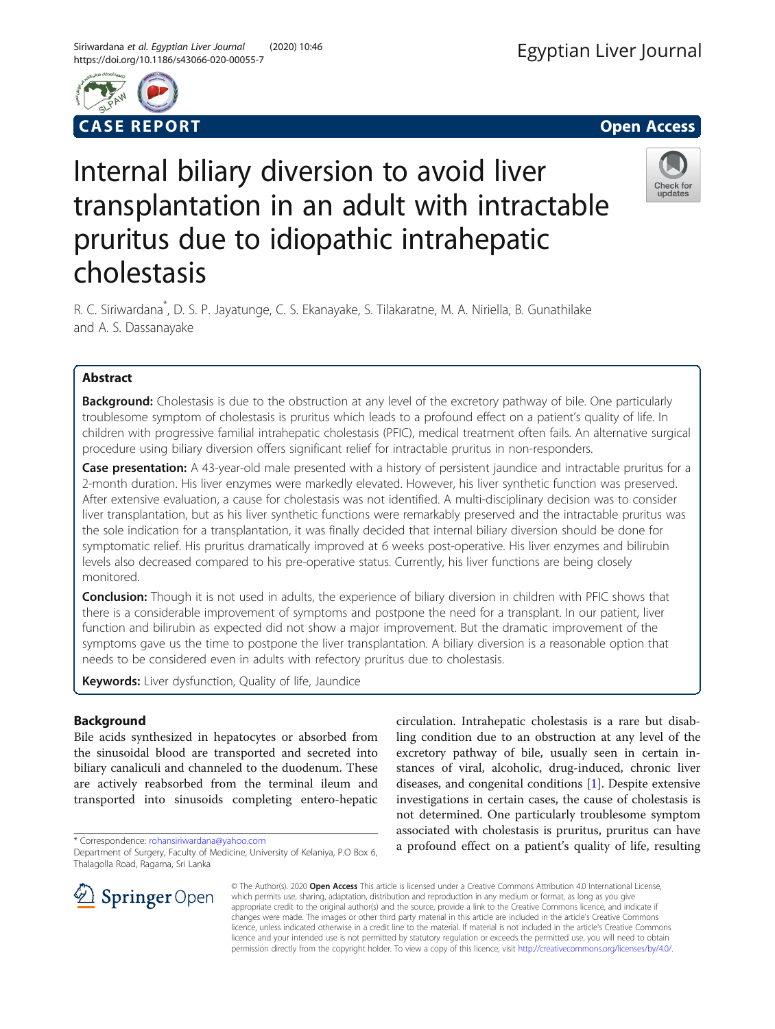



# Internal biliary diversion to avoid liver transplantation in an adult with intractable pruritus due to idiopathic intrahepatic cholestasis



R. C. Siriwardana\* , D. S. P. Jayatunge, C. S. Ekanayake, S. Tilakaratne, M. A. Niriella, B. Gunathilake and A. S. Dassanayake

# Abstract

**Background:** Cholestasis is due to the obstruction at any level of the excretory pathway of bile. One particularly troublesome symptom of cholestasis is pruritus which leads to a profound effect on a patient's quality of life. In children with progressive familial intrahepatic cholestasis (PFIC), medical treatment often fails. An alternative surgical procedure using biliary diversion offers significant relief for intractable pruritus in non-responders.

Case presentation: A 43-year-old male presented with a history of persistent jaundice and intractable pruritus for a 2-month duration. His liver enzymes were markedly elevated. However, his liver synthetic function was preserved. After extensive evaluation, a cause for cholestasis was not identified. A multi-disciplinary decision was to consider liver transplantation, but as his liver synthetic functions were remarkably preserved and the intractable pruritus was the sole indication for a transplantation, it was finally decided that internal biliary diversion should be done for symptomatic relief. His pruritus dramatically improved at 6 weeks post-operative. His liver enzymes and bilirubin levels also decreased compared to his pre-operative status. Currently, his liver functions are being closely monitored.

Conclusion: Though it is not used in adults, the experience of biliary diversion in children with PFIC shows that there is a considerable improvement of symptoms and postpone the need for a transplant. In our patient, liver function and bilirubin as expected did not show a major improvement. But the dramatic improvement of the symptoms gave us the time to postpone the liver transplantation. A biliary diversion is a reasonable option that needs to be considered even in adults with refectory pruritus due to cholestasis.

Keywords: Liver dysfunction, Quality of life, Jaundice

# Background

Bile acids synthesized in hepatocytes or absorbed from the sinusoidal blood are transported and secreted into biliary canaliculi and channeled to the duodenum. These are actively reabsorbed from the terminal ileum and transported into sinusoids completing entero-hepatic

\* Correspondence: [rohansiriwardana@yahoo.com](mailto:rohansiriwardana@yahoo.com)

circulation. Intrahepatic cholestasis is a rare but disabling condition due to an obstruction at any level of the excretory pathway of bile, usually seen in certain instances of viral, alcoholic, drug-induced, chronic liver diseases, and congenital conditions [\[1](#page-2-0)]. Despite extensive investigations in certain cases, the cause of cholestasis is not determined. One particularly troublesome symptom associated with cholestasis is pruritus, pruritus can have a profound effect on a patient's quality of life, resulting



© The Author(s). 2020 Open Access This article is licensed under a Creative Commons Attribution 4.0 International License, which permits use, sharing, adaptation, distribution and reproduction in any medium or format, as long as you give appropriate credit to the original author(s) and the source, provide a link to the Creative Commons licence, and indicate if changes were made. The images or other third party material in this article are included in the article's Creative Commons licence, unless indicated otherwise in a credit line to the material. If material is not included in the article's Creative Commons licence and your intended use is not permitted by statutory regulation or exceeds the permitted use, you will need to obtain permission directly from the copyright holder. To view a copy of this licence, visit <http://creativecommons.org/licenses/by/4.0/>.

Department of Surgery, Faculty of Medicine, University of Kelaniya, P.O Box 6, Thalagolla Road, Ragama, Sri Lanka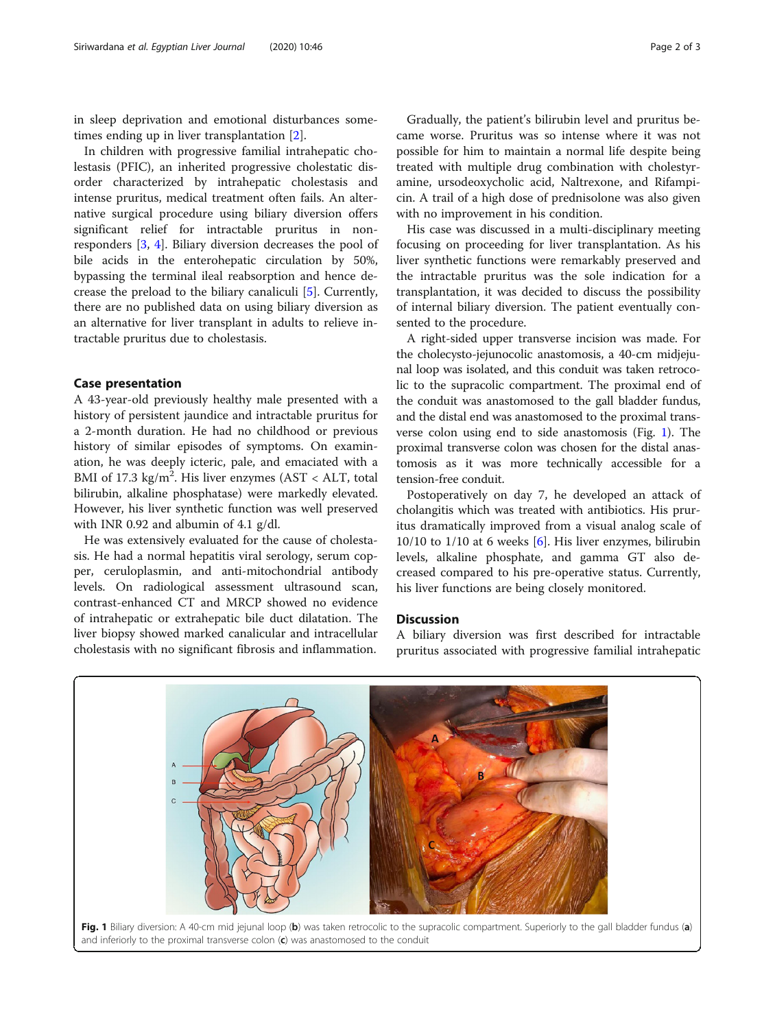in sleep deprivation and emotional disturbances sometimes ending up in liver transplantation [\[2](#page-2-0)].

In children with progressive familial intrahepatic cholestasis (PFIC), an inherited progressive cholestatic disorder characterized by intrahepatic cholestasis and intense pruritus, medical treatment often fails. An alternative surgical procedure using biliary diversion offers significant relief for intractable pruritus in nonresponders [\[3,](#page-2-0) [4\]](#page-2-0). Biliary diversion decreases the pool of bile acids in the enterohepatic circulation by 50%, bypassing the terminal ileal reabsorption and hence decrease the preload to the biliary canaliculi [[5\]](#page-2-0). Currently, there are no published data on using biliary diversion as an alternative for liver transplant in adults to relieve intractable pruritus due to cholestasis.

## Case presentation

A 43-year-old previously healthy male presented with a history of persistent jaundice and intractable pruritus for a 2-month duration. He had no childhood or previous history of similar episodes of symptoms. On examination, he was deeply icteric, pale, and emaciated with a BMI of 17.3 kg/m<sup>2</sup>. His liver enzymes (AST < ALT, total bilirubin, alkaline phosphatase) were markedly elevated. However, his liver synthetic function was well preserved with INR 0.92 and albumin of 4.1 g/dl.

He was extensively evaluated for the cause of cholestasis. He had a normal hepatitis viral serology, serum copper, ceruloplasmin, and anti-mitochondrial antibody levels. On radiological assessment ultrasound scan, contrast-enhanced CT and MRCP showed no evidence of intrahepatic or extrahepatic bile duct dilatation. The liver biopsy showed marked canalicular and intracellular cholestasis with no significant fibrosis and inflammation.

Gradually, the patient's bilirubin level and pruritus became worse. Pruritus was so intense where it was not possible for him to maintain a normal life despite being treated with multiple drug combination with cholestyramine, ursodeoxycholic acid, Naltrexone, and Rifampicin. A trail of a high dose of prednisolone was also given with no improvement in his condition.

His case was discussed in a multi-disciplinary meeting focusing on proceeding for liver transplantation. As his liver synthetic functions were remarkably preserved and the intractable pruritus was the sole indication for a transplantation, it was decided to discuss the possibility of internal biliary diversion. The patient eventually consented to the procedure.

A right-sided upper transverse incision was made. For the cholecysto-jejunocolic anastomosis, a 40-cm midjejunal loop was isolated, and this conduit was taken retrocolic to the supracolic compartment. The proximal end of the conduit was anastomosed to the gall bladder fundus, and the distal end was anastomosed to the proximal transverse colon using end to side anastomosis (Fig. 1). The proximal transverse colon was chosen for the distal anastomosis as it was more technically accessible for a tension-free conduit.

Postoperatively on day 7, he developed an attack of cholangitis which was treated with antibiotics. His pruritus dramatically improved from a visual analog scale of  $10/10$  to  $1/10$  at 6 weeks [[6\]](#page-2-0). His liver enzymes, bilirubin levels, alkaline phosphate, and gamma GT also decreased compared to his pre-operative status. Currently, his liver functions are being closely monitored.

# Discussion

A biliary diversion was first described for intractable pruritus associated with progressive familial intrahepatic